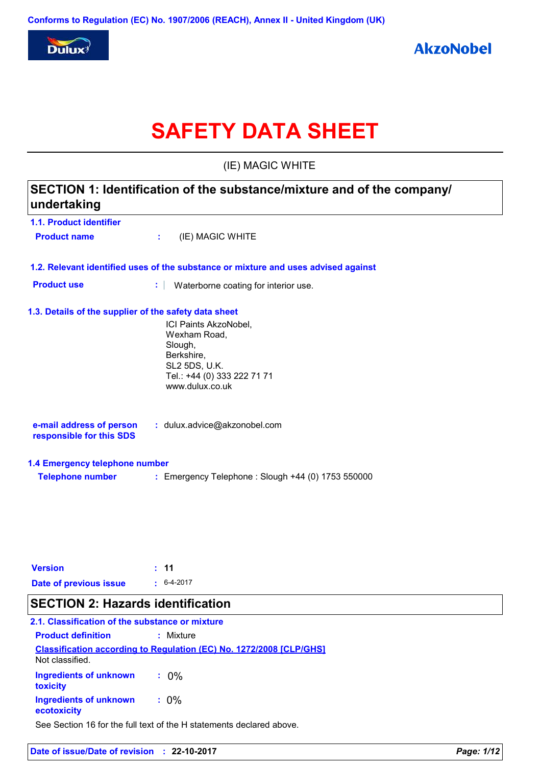

# **SAFETY DATA SHEET**

(IE) MAGIC WHITE

| SECTION 1: Identification of the substance/mixture and of the company/<br>undertaking |                                                                                                                                   |  |  |  |
|---------------------------------------------------------------------------------------|-----------------------------------------------------------------------------------------------------------------------------------|--|--|--|
| 1.1. Product identifier                                                               |                                                                                                                                   |  |  |  |
| <b>Product name</b>                                                                   | (IE) MAGIC WHITE<br>÷                                                                                                             |  |  |  |
|                                                                                       | 1.2. Relevant identified uses of the substance or mixture and uses advised against                                                |  |  |  |
| <b>Product use</b>                                                                    | ÷<br>Waterborne coating for interior use.                                                                                         |  |  |  |
| 1.3. Details of the supplier of the safety data sheet                                 | ICI Paints AkzoNobel,<br>Wexham Road,<br>Slough,<br>Berkshire,<br>SL2 5DS, U.K.<br>Tel.: +44 (0) 333 222 71 71<br>www.dulux.co.uk |  |  |  |
| e-mail address of person<br>responsible for this SDS                                  | : dulux.advice@akzonobel.com                                                                                                      |  |  |  |
| 1.4 Emergency telephone number                                                        |                                                                                                                                   |  |  |  |
| <b>Telephone number</b>                                                               | : Emergency Telephone : Slough +44 (0) 1753 550000                                                                                |  |  |  |
| <b>Version</b>                                                                        | 11                                                                                                                                |  |  |  |
| Date of previous issue                                                                | $6-4-2017$                                                                                                                        |  |  |  |

### **SECTION 2: Hazards identification**

#### **Classification according to Regulation (EC) No. 1272/2008 [CLP/GHS] 2.1. Classification of the substance or mixture Product definition :** Mixture **Ingredients of unknown :** 0% Not classified.

**toxicity Ingredients of unknown ecotoxicity :** 0%

See Section 16 for the full text of the H statements declared above.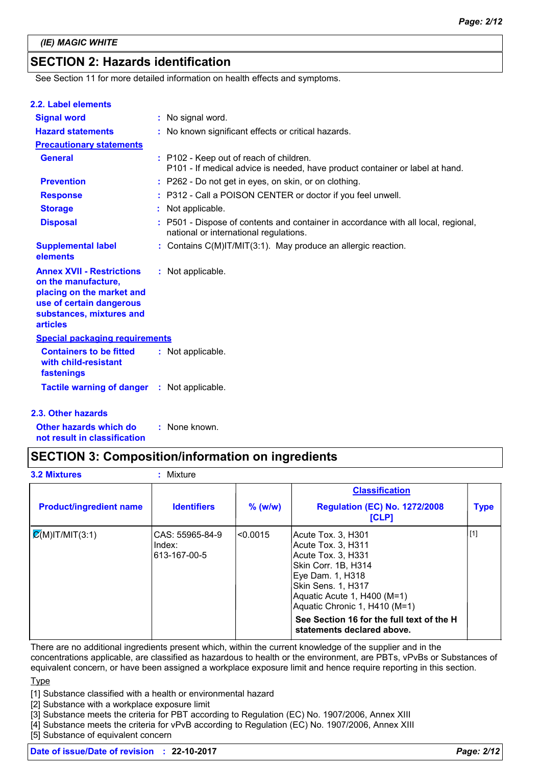# **SECTION 2: Hazards identification**

See Section 11 for more detailed information on health effects and symptoms.

| <b>Tactile warning of danger : Not applicable.</b>                                                                                                              |                                                                                                                            |
|-----------------------------------------------------------------------------------------------------------------------------------------------------------------|----------------------------------------------------------------------------------------------------------------------------|
| <b>Containers to be fitted</b><br>with child-resistant<br>fastenings                                                                                            | : Not applicable.                                                                                                          |
| <b>Special packaging requirements</b>                                                                                                                           |                                                                                                                            |
| <b>Annex XVII - Restrictions</b><br>on the manufacture,<br>placing on the market and<br>use of certain dangerous<br>substances, mixtures and<br><b>articles</b> | : Not applicable.                                                                                                          |
| <b>Supplemental label</b><br>elements                                                                                                                           | : Contains C(M)IT/MIT(3:1). May produce an allergic reaction.                                                              |
| <b>Disposal</b>                                                                                                                                                 | P501 - Dispose of contents and container in accordance with all local, regional,<br>national or international regulations. |
| <b>Storage</b>                                                                                                                                                  | Not applicable.<br>÷                                                                                                       |
| <b>Response</b>                                                                                                                                                 | : P312 - Call a POISON CENTER or doctor if you feel unwell.                                                                |
| <b>Prevention</b>                                                                                                                                               | : P262 - Do not get in eyes, on skin, or on clothing.                                                                      |
| <b>General</b>                                                                                                                                                  | : P102 - Keep out of reach of children.<br>P101 - If medical advice is needed, have product container or label at hand.    |
| <b>Precautionary statements</b>                                                                                                                                 |                                                                                                                            |
| <b>Hazard statements</b>                                                                                                                                        | : No known significant effects or critical hazards.                                                                        |
| <b>Signal word</b>                                                                                                                                              | : No signal word.                                                                                                          |

**Other hazards which do :** : None known.

#### **not result in classification**

### **SECTION 3: Composition/information on ingredients**

| <b>3.2 Mixtures</b>            | : Mixture                                 |           |                                                                                                                                                                                                                                                                               |             |  |  |  |
|--------------------------------|-------------------------------------------|-----------|-------------------------------------------------------------------------------------------------------------------------------------------------------------------------------------------------------------------------------------------------------------------------------|-------------|--|--|--|
|                                |                                           |           | <b>Classification</b>                                                                                                                                                                                                                                                         |             |  |  |  |
| <b>Product/ingredient name</b> | <b>Identifiers</b>                        | $%$ (w/w) | <b>Regulation (EC) No. 1272/2008</b><br><b>[CLP]</b>                                                                                                                                                                                                                          | <b>Type</b> |  |  |  |
| $\mathcal{Q}(M)$ IT/MIT(3:1)   | CAS: 55965-84-9<br>Index:<br>613-167-00-5 | l<0.0015  | Acute Tox. 3. H301<br> Acute Tox. 3, H311<br>Acute Tox. 3, H331<br> Skin Corr. 1B, H314<br>Eye Dam. 1, H318<br> Skin Sens. 1, H317<br>Aquatic Acute 1, H400 (M=1)<br>Aquatic Chronic 1, H410 (M=1)<br>See Section 16 for the full text of the H<br>statements declared above. | [1]         |  |  |  |

There are no additional ingredients present which, within the current knowledge of the supplier and in the concentrations applicable, are classified as hazardous to health or the environment, are PBTs, vPvBs or Substances of equivalent concern, or have been assigned a workplace exposure limit and hence require reporting in this section.

#### **Type**

[1] Substance classified with a health or environmental hazard

[2] Substance with a workplace exposure limit

[3] Substance meets the criteria for PBT according to Regulation (EC) No. 1907/2006, Annex XIII

[4] Substance meets the criteria for vPvB according to Regulation (EC) No. 1907/2006, Annex XIII

[5] Substance of equivalent concern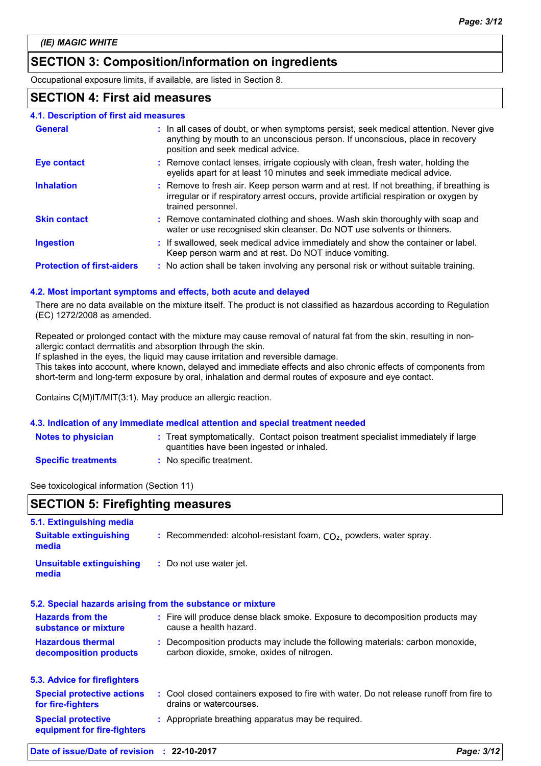## **SECTION 3: Composition/information on ingredients**

Occupational exposure limits, if available, are listed in Section 8.

### **SECTION 4: First aid measures**

| 4.1. Description of first aid measures |                                                                                                                                                                                                             |
|----------------------------------------|-------------------------------------------------------------------------------------------------------------------------------------------------------------------------------------------------------------|
| <b>General</b>                         | : In all cases of doubt, or when symptoms persist, seek medical attention. Never give<br>anything by mouth to an unconscious person. If unconscious, place in recovery<br>position and seek medical advice. |
| <b>Eye contact</b>                     | : Remove contact lenses, irrigate copiously with clean, fresh water, holding the<br>eyelids apart for at least 10 minutes and seek immediate medical advice.                                                |
| <b>Inhalation</b>                      | : Remove to fresh air. Keep person warm and at rest. If not breathing, if breathing is<br>irregular or if respiratory arrest occurs, provide artificial respiration or oxygen by<br>trained personnel.      |
| <b>Skin contact</b>                    | : Remove contaminated clothing and shoes. Wash skin thoroughly with soap and<br>water or use recognised skin cleanser. Do NOT use solvents or thinners.                                                     |
| <b>Ingestion</b>                       | : If swallowed, seek medical advice immediately and show the container or label.<br>Keep person warm and at rest. Do NOT induce vomiting.                                                                   |
| <b>Protection of first-aiders</b>      | : No action shall be taken involving any personal risk or without suitable training.                                                                                                                        |

#### **4.2. Most important symptoms and effects, both acute and delayed**

There are no data available on the mixture itself. The product is not classified as hazardous according to Regulation (EC) 1272/2008 as amended.

Repeated or prolonged contact with the mixture may cause removal of natural fat from the skin, resulting in nonallergic contact dermatitis and absorption through the skin.

If splashed in the eyes, the liquid may cause irritation and reversible damage.

This takes into account, where known, delayed and immediate effects and also chronic effects of components from short-term and long-term exposure by oral, inhalation and dermal routes of exposure and eye contact.

Contains C(M)IT/MIT(3:1). May produce an allergic reaction.

#### **4.3. Indication of any immediate medical attention and special treatment needed**

| <b>Notes to physician</b>           | : Treat symptomatically. Contact poison treatment specialist immediately if large<br>quantities have been ingested or inhaled. |
|-------------------------------------|--------------------------------------------------------------------------------------------------------------------------------|
| Constability Andrew American Artist | ta a Malaysia na matambang kana na matambang kanalang kanalang kanalang kanalang kanalang kanalang kanalang ka                 |

**Specific treatments :** No specific treatment.

See toxicological information (Section 11)

| <b>SECTION 5: Firefighting measures</b>                            |                                                                                                                              |  |
|--------------------------------------------------------------------|------------------------------------------------------------------------------------------------------------------------------|--|
| 5.1. Extinguishing media<br><b>Suitable extinguishing</b><br>media | : Recommended: alcohol-resistant foam, $CO2$ , powders, water spray.                                                         |  |
| <b>Unsuitable extinguishing</b><br>media                           | : Do not use water jet.                                                                                                      |  |
|                                                                    | 5.2. Special hazards arising from the substance or mixture                                                                   |  |
| <b>Hazards from the</b><br>substance or mixture                    | : Fire will produce dense black smoke. Exposure to decomposition products may<br>cause a health hazard.                      |  |
| <b>Hazardous thermal</b><br>decomposition products                 | : Decomposition products may include the following materials: carbon monoxide,<br>carbon dioxide, smoke, oxides of nitrogen. |  |
| 5.3. Advice for firefighters                                       |                                                                                                                              |  |
| <b>Special protective actions</b><br>for fire-fighters             | : Cool closed containers exposed to fire with water. Do not release runoff from fire to<br>drains or watercourses.           |  |
| <b>Special protective</b><br>equipment for fire-fighters           | : Appropriate breathing apparatus may be required.                                                                           |  |
| Date of issue/Date of revision : 22-10-2017                        | Page: 3/12                                                                                                                   |  |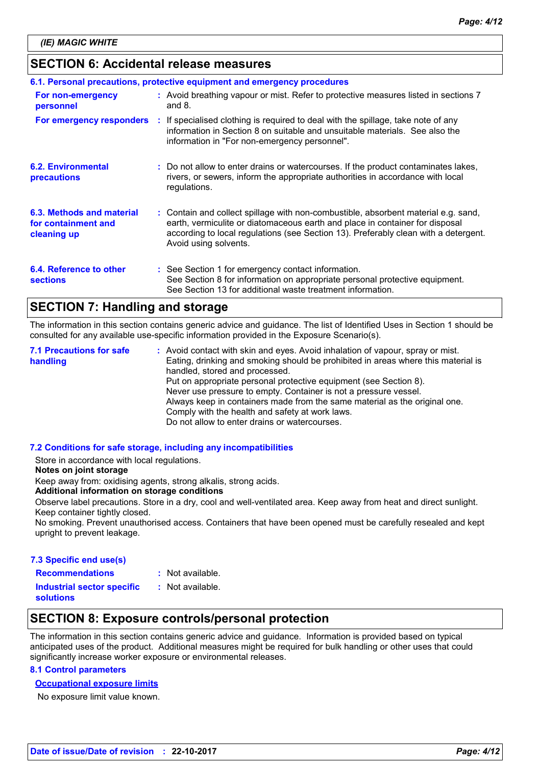### **SECTION 6: Accidental release measures**

| 6.1. Personal precautions, protective equipment and emergency procedures |  |                                                                                                                                                                                                                                                                                    |  |  |  |
|--------------------------------------------------------------------------|--|------------------------------------------------------------------------------------------------------------------------------------------------------------------------------------------------------------------------------------------------------------------------------------|--|--|--|
| For non-emergency<br>personnel                                           |  | : Avoid breathing vapour or mist. Refer to protective measures listed in sections 7<br>and $8.$                                                                                                                                                                                    |  |  |  |
| For emergency responders                                                 |  | : If specialised clothing is required to deal with the spillage, take note of any<br>information in Section 8 on suitable and unsuitable materials. See also the<br>information in "For non-emergency personnel".                                                                  |  |  |  |
| <b>6.2. Environmental</b><br>precautions                                 |  | : Do not allow to enter drains or watercourses. If the product contaminates lakes,<br>rivers, or sewers, inform the appropriate authorities in accordance with local<br>regulations.                                                                                               |  |  |  |
| 6.3. Methods and material<br>for containment and<br>cleaning up          |  | : Contain and collect spillage with non-combustible, absorbent material e.g. sand,<br>earth, vermiculite or diatomaceous earth and place in container for disposal<br>according to local regulations (see Section 13). Preferably clean with a detergent.<br>Avoid using solvents. |  |  |  |
| 6.4. Reference to other<br><b>sections</b>                               |  | : See Section 1 for emergency contact information.<br>See Section 8 for information on appropriate personal protective equipment.<br>See Section 13 for additional waste treatment information.                                                                                    |  |  |  |

### **SECTION 7: Handling and storage**

The information in this section contains generic advice and guidance. The list of Identified Uses in Section 1 should be consulted for any available use-specific information provided in the Exposure Scenario(s).

Avoid contact with skin and eyes. Avoid inhalation of vapour, spray or mist. **:** Eating, drinking and smoking should be prohibited in areas where this material is handled, stored and processed. Put on appropriate personal protective equipment (see Section 8). Never use pressure to empty. Container is not a pressure vessel. Always keep in containers made from the same material as the original one. Comply with the health and safety at work laws. Do not allow to enter drains or watercourses. **7.1 Precautions for safe handling**

#### **7.2 Conditions for safe storage, including any incompatibilities**

Store in accordance with local regulations.

#### **Notes on joint storage**

Keep away from: oxidising agents, strong alkalis, strong acids.

#### **Additional information on storage conditions**

Observe label precautions. Store in a dry, cool and well-ventilated area. Keep away from heat and direct sunlight. Keep container tightly closed.

No smoking. Prevent unauthorised access. Containers that have been opened must be carefully resealed and kept upright to prevent leakage.

#### **7.3 Specific end use(s) Recommendations :**

: Not available.

**Industrial sector specific : solutions**

: Not available.

### **SECTION 8: Exposure controls/personal protection**

The information in this section contains generic advice and guidance. Information is provided based on typical anticipated uses of the product. Additional measures might be required for bulk handling or other uses that could significantly increase worker exposure or environmental releases.

#### **8.1 Control parameters**

#### **Occupational exposure limits**

No exposure limit value known.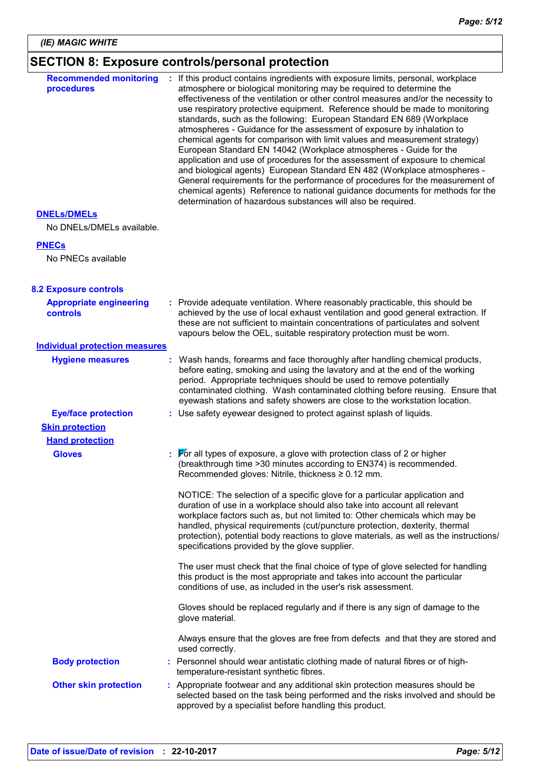# **SECTION 8: Exposure controls/personal protection**

| <b>Recommended monitoring</b><br>procedures     | : If this product contains ingredients with exposure limits, personal, workplace<br>atmosphere or biological monitoring may be required to determine the<br>effectiveness of the ventilation or other control measures and/or the necessity to<br>use respiratory protective equipment. Reference should be made to monitoring<br>standards, such as the following: European Standard EN 689 (Workplace<br>atmospheres - Guidance for the assessment of exposure by inhalation to<br>chemical agents for comparison with limit values and measurement strategy)<br>European Standard EN 14042 (Workplace atmospheres - Guide for the<br>application and use of procedures for the assessment of exposure to chemical<br>and biological agents) European Standard EN 482 (Workplace atmospheres -<br>General requirements for the performance of procedures for the measurement of<br>chemical agents) Reference to national guidance documents for methods for the<br>determination of hazardous substances will also be required. |
|-------------------------------------------------|------------------------------------------------------------------------------------------------------------------------------------------------------------------------------------------------------------------------------------------------------------------------------------------------------------------------------------------------------------------------------------------------------------------------------------------------------------------------------------------------------------------------------------------------------------------------------------------------------------------------------------------------------------------------------------------------------------------------------------------------------------------------------------------------------------------------------------------------------------------------------------------------------------------------------------------------------------------------------------------------------------------------------------|
| <b>DNELS/DMELS</b><br>No DNELs/DMELs available. |                                                                                                                                                                                                                                                                                                                                                                                                                                                                                                                                                                                                                                                                                                                                                                                                                                                                                                                                                                                                                                    |
| <b>PNECs</b>                                    |                                                                                                                                                                                                                                                                                                                                                                                                                                                                                                                                                                                                                                                                                                                                                                                                                                                                                                                                                                                                                                    |
| No PNECs available                              |                                                                                                                                                                                                                                                                                                                                                                                                                                                                                                                                                                                                                                                                                                                                                                                                                                                                                                                                                                                                                                    |
| <b>8.2 Exposure controls</b>                    |                                                                                                                                                                                                                                                                                                                                                                                                                                                                                                                                                                                                                                                                                                                                                                                                                                                                                                                                                                                                                                    |
| <b>Appropriate engineering</b><br>controls      | : Provide adequate ventilation. Where reasonably practicable, this should be<br>achieved by the use of local exhaust ventilation and good general extraction. If<br>these are not sufficient to maintain concentrations of particulates and solvent<br>vapours below the OEL, suitable respiratory protection must be worn.                                                                                                                                                                                                                                                                                                                                                                                                                                                                                                                                                                                                                                                                                                        |
| <b>Individual protection measures</b>           |                                                                                                                                                                                                                                                                                                                                                                                                                                                                                                                                                                                                                                                                                                                                                                                                                                                                                                                                                                                                                                    |
| <b>Hygiene measures</b>                         | Wash hands, forearms and face thoroughly after handling chemical products,<br>before eating, smoking and using the lavatory and at the end of the working<br>period. Appropriate techniques should be used to remove potentially<br>contaminated clothing. Wash contaminated clothing before reusing. Ensure that<br>eyewash stations and safety showers are close to the workstation location.                                                                                                                                                                                                                                                                                                                                                                                                                                                                                                                                                                                                                                    |
| <b>Eye/face protection</b>                      | : Use safety eyewear designed to protect against splash of liquids.                                                                                                                                                                                                                                                                                                                                                                                                                                                                                                                                                                                                                                                                                                                                                                                                                                                                                                                                                                |
| <b>Skin protection</b>                          |                                                                                                                                                                                                                                                                                                                                                                                                                                                                                                                                                                                                                                                                                                                                                                                                                                                                                                                                                                                                                                    |
| <b>Hand protection</b>                          |                                                                                                                                                                                                                                                                                                                                                                                                                                                                                                                                                                                                                                                                                                                                                                                                                                                                                                                                                                                                                                    |
| <b>Gloves</b>                                   | $\triangleright$ or all types of exposure, a glove with protection class of 2 or higher<br>(breakthrough time > 30 minutes according to EN374) is recommended.<br>Recommended gloves: Nitrile, thickness $\geq 0.12$ mm.                                                                                                                                                                                                                                                                                                                                                                                                                                                                                                                                                                                                                                                                                                                                                                                                           |
|                                                 | NOTICE: The selection of a specific glove for a particular application and<br>duration of use in a workplace should also take into account all relevant<br>workplace factors such as, but not limited to: Other chemicals which may be<br>handled, physical requirements (cut/puncture protection, dexterity, thermal<br>protection), potential body reactions to glove materials, as well as the instructions/<br>specifications provided by the glove supplier.                                                                                                                                                                                                                                                                                                                                                                                                                                                                                                                                                                  |
|                                                 | The user must check that the final choice of type of glove selected for handling<br>this product is the most appropriate and takes into account the particular<br>conditions of use, as included in the user's risk assessment.                                                                                                                                                                                                                                                                                                                                                                                                                                                                                                                                                                                                                                                                                                                                                                                                    |
|                                                 | Gloves should be replaced regularly and if there is any sign of damage to the<br>glove material.                                                                                                                                                                                                                                                                                                                                                                                                                                                                                                                                                                                                                                                                                                                                                                                                                                                                                                                                   |
|                                                 | Always ensure that the gloves are free from defects and that they are stored and<br>used correctly.                                                                                                                                                                                                                                                                                                                                                                                                                                                                                                                                                                                                                                                                                                                                                                                                                                                                                                                                |
| <b>Body protection</b>                          | : Personnel should wear antistatic clothing made of natural fibres or of high-<br>temperature-resistant synthetic fibres.                                                                                                                                                                                                                                                                                                                                                                                                                                                                                                                                                                                                                                                                                                                                                                                                                                                                                                          |
| <b>Other skin protection</b>                    | : Appropriate footwear and any additional skin protection measures should be<br>selected based on the task being performed and the risks involved and should be<br>approved by a specialist before handling this product.                                                                                                                                                                                                                                                                                                                                                                                                                                                                                                                                                                                                                                                                                                                                                                                                          |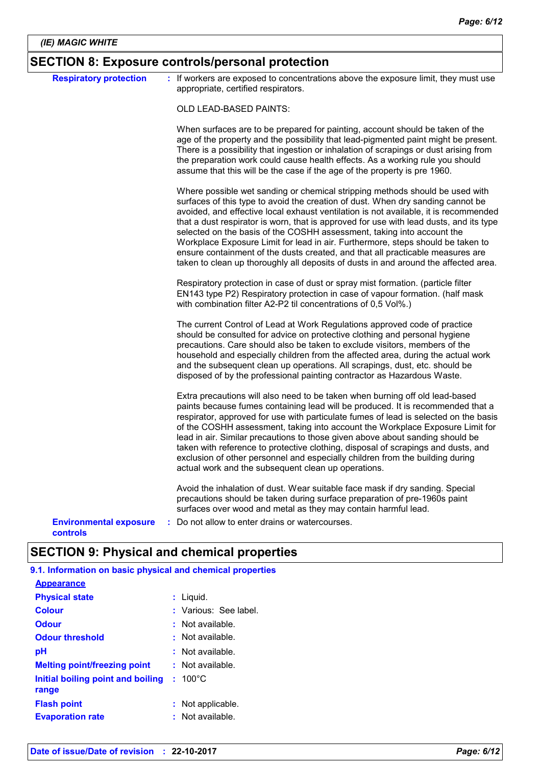# **SECTION 8: Exposure controls/personal protection**

| <b>Respiratory protection</b>             | : If workers are exposed to concentrations above the exposure limit, they must use<br>appropriate, certified respirators.                                                                                                                                                                                                                                                                                                                                                                                                                                                                                                                                                               |
|-------------------------------------------|-----------------------------------------------------------------------------------------------------------------------------------------------------------------------------------------------------------------------------------------------------------------------------------------------------------------------------------------------------------------------------------------------------------------------------------------------------------------------------------------------------------------------------------------------------------------------------------------------------------------------------------------------------------------------------------------|
|                                           | OLD LEAD-BASED PAINTS:                                                                                                                                                                                                                                                                                                                                                                                                                                                                                                                                                                                                                                                                  |
|                                           | When surfaces are to be prepared for painting, account should be taken of the<br>age of the property and the possibility that lead-pigmented paint might be present.<br>There is a possibility that ingestion or inhalation of scrapings or dust arising from<br>the preparation work could cause health effects. As a working rule you should<br>assume that this will be the case if the age of the property is pre 1960.                                                                                                                                                                                                                                                             |
|                                           | Where possible wet sanding or chemical stripping methods should be used with<br>surfaces of this type to avoid the creation of dust. When dry sanding cannot be<br>avoided, and effective local exhaust ventilation is not available, it is recommended<br>that a dust respirator is worn, that is approved for use with lead dusts, and its type<br>selected on the basis of the COSHH assessment, taking into account the<br>Workplace Exposure Limit for lead in air. Furthermore, steps should be taken to<br>ensure containment of the dusts created, and that all practicable measures are<br>taken to clean up thoroughly all deposits of dusts in and around the affected area. |
|                                           | Respiratory protection in case of dust or spray mist formation. (particle filter<br>EN143 type P2) Respiratory protection in case of vapour formation. (half mask<br>with combination filter A2-P2 til concentrations of 0,5 Vol%.)                                                                                                                                                                                                                                                                                                                                                                                                                                                     |
|                                           | The current Control of Lead at Work Regulations approved code of practice<br>should be consulted for advice on protective clothing and personal hygiene<br>precautions. Care should also be taken to exclude visitors, members of the<br>household and especially children from the affected area, during the actual work<br>and the subsequent clean up operations. All scrapings, dust, etc. should be<br>disposed of by the professional painting contractor as Hazardous Waste.                                                                                                                                                                                                     |
|                                           | Extra precautions will also need to be taken when burning off old lead-based<br>paints because fumes containing lead will be produced. It is recommended that a<br>respirator, approved for use with particulate fumes of lead is selected on the basis<br>of the COSHH assessment, taking into account the Workplace Exposure Limit for<br>lead in air. Similar precautions to those given above about sanding should be<br>taken with reference to protective clothing, disposal of scrapings and dusts, and<br>exclusion of other personnel and especially children from the building during<br>actual work and the subsequent clean up operations.                                  |
|                                           | Avoid the inhalation of dust. Wear suitable face mask if dry sanding. Special<br>precautions should be taken during surface preparation of pre-1960s paint<br>surfaces over wood and metal as they may contain harmful lead.                                                                                                                                                                                                                                                                                                                                                                                                                                                            |
| <b>Environmental exposure</b><br>controls | : Do not allow to enter drains or watercourses.                                                                                                                                                                                                                                                                                                                                                                                                                                                                                                                                                                                                                                         |

# **SECTION 9: Physical and chemical properties**

| 9.1. Information on basic physical and chemical properties |  |  |  |
|------------------------------------------------------------|--|--|--|
| <b>Appearance</b>                                          |  |  |  |

| <b>Physical state</b>                      | : Liquid.             |
|--------------------------------------------|-----------------------|
| <b>Colour</b>                              | : Various: See label. |
| <b>Odour</b>                               | $:$ Not available.    |
| <b>Odour threshold</b>                     | $\pm$ Not available.  |
| рH                                         | : Not available.      |
| <b>Melting point/freezing point</b>        | $:$ Not available.    |
| Initial boiling point and boiling<br>range | $: 100^{\circ}$ C     |
| <b>Flash point</b>                         | : Not applicable.     |
| <b>Evaporation rate</b>                    | $:$ Not available.    |
|                                            |                       |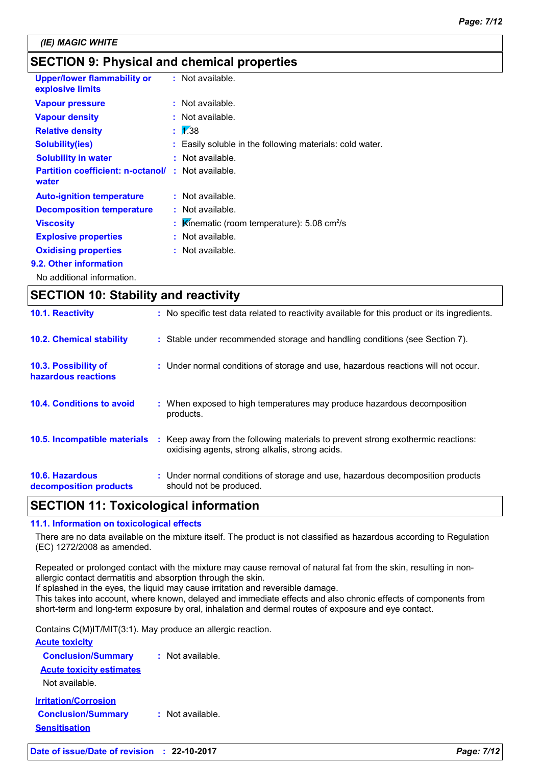# **SECTION 9: Physical and chemical properties**

| <b>Upper/lower flammability or</b><br>explosive limits             | $:$ Not available.                                         |
|--------------------------------------------------------------------|------------------------------------------------------------|
| <b>Vapour pressure</b>                                             | $:$ Not available.                                         |
| <b>Vapour density</b>                                              | $:$ Not available.                                         |
| <b>Relative density</b>                                            | $\frac{1}{2}$ 1.38                                         |
| <b>Solubility(ies)</b>                                             | : Easily soluble in the following materials: cold water.   |
| <b>Solubility in water</b>                                         | : Not available.                                           |
| <b>Partition coefficient: n-octanol/ : Not available.</b><br>water |                                                            |
| <b>Auto-ignition temperature</b>                                   | : Not available.                                           |
| <b>Decomposition temperature</b>                                   | $:$ Not available.                                         |
| <b>Viscosity</b>                                                   | Kinematic (room temperature): $5.08 \text{ cm}^2/\text{s}$ |
| <b>Explosive properties</b>                                        | : Not available.                                           |
| <b>Oxidising properties</b>                                        | $:$ Not available.                                         |
| 9.2. Other information                                             |                                                            |
|                                                                    |                                                            |

No additional information.

| <b>SECTION 10: Stability and reactivity</b> |                                                                                                                                         |  |
|---------------------------------------------|-----------------------------------------------------------------------------------------------------------------------------------------|--|
| 10.1. Reactivity                            | : No specific test data related to reactivity available for this product or its ingredients.                                            |  |
| <b>10.2. Chemical stability</b>             | : Stable under recommended storage and handling conditions (see Section 7).                                                             |  |
| 10.3. Possibility of<br>hazardous reactions | : Under normal conditions of storage and use, hazardous reactions will not occur.                                                       |  |
| 10.4. Conditions to avoid                   | : When exposed to high temperatures may produce hazardous decomposition<br>products.                                                    |  |
| <b>10.5. Incompatible materials</b>         | Keep away from the following materials to prevent strong exothermic reactions:<br>÷.<br>oxidising agents, strong alkalis, strong acids. |  |
| 10.6. Hazardous<br>decomposition products   | : Under normal conditions of storage and use, hazardous decomposition products<br>should not be produced.                               |  |

### **SECTION 11: Toxicological information**

#### **11.1. Information on toxicological effects**

There are no data available on the mixture itself. The product is not classified as hazardous according to Regulation (EC) 1272/2008 as amended.

Repeated or prolonged contact with the mixture may cause removal of natural fat from the skin, resulting in nonallergic contact dermatitis and absorption through the skin.

If splashed in the eyes, the liquid may cause irritation and reversible damage.

This takes into account, where known, delayed and immediate effects and also chronic effects of components from short-term and long-term exposure by oral, inhalation and dermal routes of exposure and eye contact.

Contains C(M)IT/MIT(3:1). May produce an allergic reaction.

| <b>Acute toxicity</b>           |                  |
|---------------------------------|------------------|
| <b>Conclusion/Summary</b>       | Not available.   |
| <b>Acute toxicity estimates</b> |                  |
| Not available.                  |                  |
| <b>Irritation/Corrosion</b>     |                  |
| <b>Conclusion/Summary</b>       | : Not available. |
| <b>Sensitisation</b>            |                  |
|                                 |                  |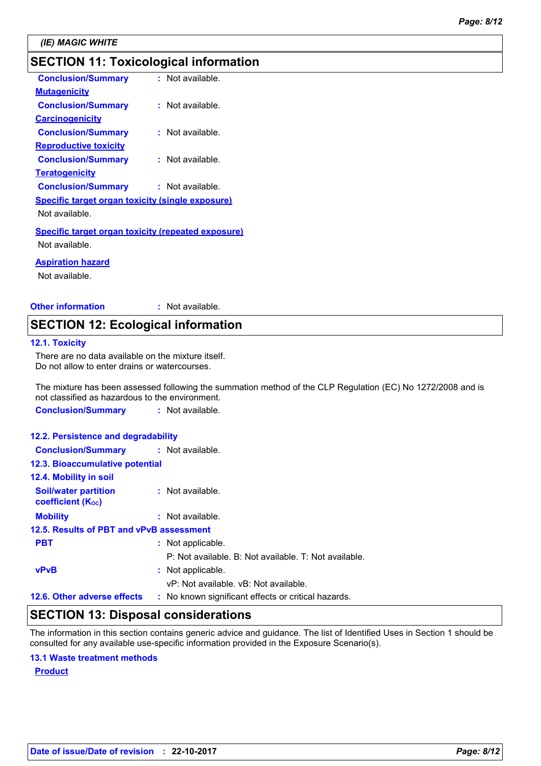# **SECTION 11: Toxicological information**

| <b>Conclusion/Summary</b>                                 | : Not available. |
|-----------------------------------------------------------|------------------|
| <b>Mutagenicity</b>                                       |                  |
| <b>Conclusion/Summary</b>                                 | : Not available. |
| <b>Carcinogenicity</b>                                    |                  |
| <b>Conclusion/Summary</b>                                 | : Not available. |
| <b>Reproductive toxicity</b>                              |                  |
| <b>Conclusion/Summary</b>                                 | : Not available. |
| <u>Teratogenicity</u>                                     |                  |
| <b>Conclusion/Summary</b>                                 | : Not available. |
| <b>Specific target organ toxicity (single exposure)</b>   |                  |
| Not available.                                            |                  |
| <b>Specific target organ toxicity (repeated exposure)</b> |                  |
| Not available.                                            |                  |
|                                                           |                  |

#### **Aspiration hazard**

Not available.

**Other information :** : Not available.

### **SECTION 12: Ecological information**

#### **12.1. Toxicity**

There are no data available on the mixture itself. Do not allow to enter drains or watercourses.

The mixture has been assessed following the summation method of the CLP Regulation (EC) No 1272/2008 and is not classified as hazardous to the environment.

**Conclusion/Summary :** Not available.

#### **12.2. Persistence and degradability**

| <b>Conclusion/Summary : Not available.</b>              |  |                                                       |  |
|---------------------------------------------------------|--|-------------------------------------------------------|--|
| 12.3. Bioaccumulative potential                         |  |                                                       |  |
| 12.4. Mobility in soil                                  |  |                                                       |  |
| <b>Soil/water partition</b><br><b>coefficient (Koc)</b> |  | : Not available.                                      |  |
| <b>Mobility</b>                                         |  | $:$ Not available.                                    |  |
| 12.5. Results of PBT and vPvB assessment                |  |                                                       |  |
| <b>PBT</b>                                              |  | : Not applicable.                                     |  |
|                                                         |  | P: Not available. B: Not available. T: Not available. |  |
| <b>vPvB</b>                                             |  | : Not applicable.                                     |  |
|                                                         |  | vP: Not available, vB: Not available.                 |  |
| 12.6. Other adverse effects                             |  | : No known significant effects or critical hazards.   |  |

### **SECTION 13: Disposal considerations**

The information in this section contains generic advice and guidance. The list of Identified Uses in Section 1 should be consulted for any available use-specific information provided in the Exposure Scenario(s).

#### **13.1 Waste treatment methods**

**Product**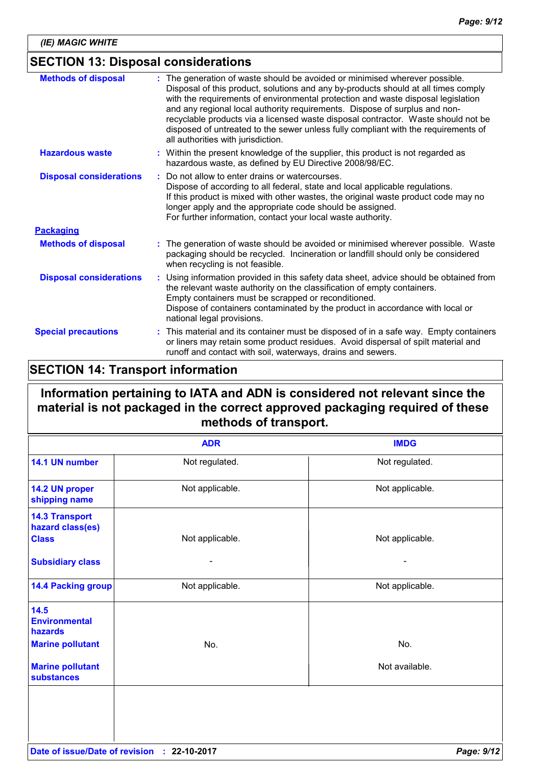# **SECTION 13: Disposal considerations**

| <b>Methods of disposal</b>     | : The generation of waste should be avoided or minimised wherever possible.<br>Disposal of this product, solutions and any by-products should at all times comply<br>with the requirements of environmental protection and waste disposal legislation<br>and any regional local authority requirements. Dispose of surplus and non-<br>recyclable products via a licensed waste disposal contractor. Waste should not be<br>disposed of untreated to the sewer unless fully compliant with the requirements of<br>all authorities with jurisdiction. |
|--------------------------------|------------------------------------------------------------------------------------------------------------------------------------------------------------------------------------------------------------------------------------------------------------------------------------------------------------------------------------------------------------------------------------------------------------------------------------------------------------------------------------------------------------------------------------------------------|
| <b>Hazardous waste</b>         | : Within the present knowledge of the supplier, this product is not regarded as<br>hazardous waste, as defined by EU Directive 2008/98/EC.                                                                                                                                                                                                                                                                                                                                                                                                           |
| <b>Disposal considerations</b> | Do not allow to enter drains or watercourses.<br>Dispose of according to all federal, state and local applicable regulations.<br>If this product is mixed with other wastes, the original waste product code may no<br>longer apply and the appropriate code should be assigned.<br>For further information, contact your local waste authority.                                                                                                                                                                                                     |
| <b>Packaging</b>               |                                                                                                                                                                                                                                                                                                                                                                                                                                                                                                                                                      |
| <b>Methods of disposal</b>     | : The generation of waste should be avoided or minimised wherever possible. Waste<br>packaging should be recycled. Incineration or landfill should only be considered<br>when recycling is not feasible.                                                                                                                                                                                                                                                                                                                                             |
| <b>Disposal considerations</b> | : Using information provided in this safety data sheet, advice should be obtained from<br>the relevant waste authority on the classification of empty containers.<br>Empty containers must be scrapped or reconditioned.<br>Dispose of containers contaminated by the product in accordance with local or<br>national legal provisions.                                                                                                                                                                                                              |
| <b>Special precautions</b>     | : This material and its container must be disposed of in a safe way. Empty containers<br>or liners may retain some product residues. Avoid dispersal of spilt material and<br>runoff and contact with soil, waterways, drains and sewers.                                                                                                                                                                                                                                                                                                            |

# **SECTION 14: Transport information**

# **Information pertaining to IATA and ADN is considered not relevant since the material is not packaged in the correct approved packaging required of these methods of transport.**

|                                                                                      | <b>ADR</b>       | <b>IMDG</b>     |
|--------------------------------------------------------------------------------------|------------------|-----------------|
| 14.1 UN number                                                                       | Not regulated.   | Not regulated.  |
| 14.2 UN proper<br>shipping name                                                      | Not applicable.  | Not applicable. |
| <b>14.3 Transport</b><br>hazard class(es)<br><b>Class</b><br><b>Subsidiary class</b> | Not applicable.  | Not applicable. |
| <b>14.4 Packing group</b>                                                            | Not applicable.  | Not applicable. |
| 14.5<br><b>Environmental</b><br>hazards                                              |                  |                 |
| <b>Marine pollutant</b>                                                              | No.              | No.             |
| <b>Marine pollutant</b><br><b>substances</b>                                         |                  | Not available.  |
|                                                                                      |                  |                 |
| Date of issue/Date of revision                                                       | 22-10-2017<br>÷. | Page: 9/12      |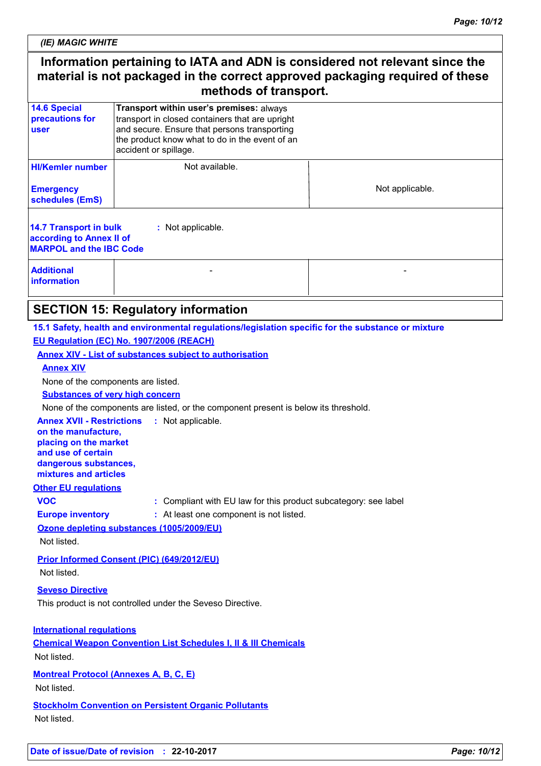*(IE) MAGIC WHITE*

# **Information pertaining to IATA and ADN is considered not relevant since the material is not packaged in the correct approved packaging required of these methods of transport.**

| <b>14.6 Special</b><br>precautions for<br>user                                                            | Transport within user's premises: always<br>transport in closed containers that are upright<br>and secure. Ensure that persons transporting<br>the product know what to do in the event of an<br>accident or spillage. |                 |  |  |
|-----------------------------------------------------------------------------------------------------------|------------------------------------------------------------------------------------------------------------------------------------------------------------------------------------------------------------------------|-----------------|--|--|
| <b>HI/Kemler number</b><br><b>Emergency</b><br>schedules (EmS)                                            | Not available.                                                                                                                                                                                                         | Not applicable. |  |  |
| 14.7 Transport in bulk<br>: Not applicable.<br>according to Annex II of<br><b>MARPOL and the IBC Code</b> |                                                                                                                                                                                                                        |                 |  |  |
| <b>Additional</b><br><i>information</i>                                                                   |                                                                                                                                                                                                                        |                 |  |  |

## **SECTION 15: Regulatory information**

**15.1 Safety, health and environmental regulations/legislation specific for the substance or mixture**

#### **EU Regulation (EC) No. 1907/2006 (REACH)**

**Annex XIV - List of substances subject to authorisation**

**Annex XIV**

None of the components are listed.

**Substances of very high concern**

None of the components are listed, or the component present is below its threshold.

**Annex XVII - Restrictions : Not applicable. on the manufacture, placing on the market and use of certain dangerous substances, mixtures and articles**

**Other EU regulations**

**VOC blacks :** Compliant with EU law for this product subcategory: see label

**Europe inventory :** At least one component is not listed.

**Ozone depleting substances (1005/2009/EU)** Not listed.

**Prior Informed Consent (PIC) (649/2012/EU)** Not listed.

**Seveso Directive**

This product is not controlled under the Seveso Directive.

**International regulations Chemical Weapon Convention List Schedules I, II & III Chemicals** Not listed.

**Montreal Protocol (Annexes A, B, C, E)**

Not listed.

**Stockholm Convention on Persistent Organic Pollutants** Not listed.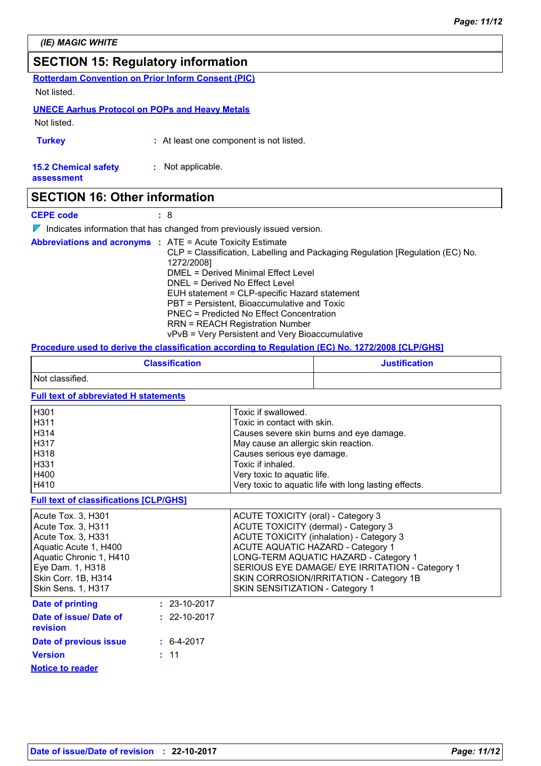## **SECTION 15: Regulatory information**

**Rotterdam Convention on Prior Inform Consent (PIC)**

Not listed.

#### **UNECE Aarhus Protocol on POPs and Heavy Metals**

Not listed.

**Turkey :** At least one component is not listed.

**15.2 Chemical safety :** Not applicable.

**assessment**

### **SECTION 16: Other information**

**CEPE code :** 8

 $\nabla$  Indicates information that has changed from previously issued version.

| <b>Abbreviations and acronyms : ATE = Acute Toxicity Estimate</b> |                                                                               |
|-------------------------------------------------------------------|-------------------------------------------------------------------------------|
|                                                                   | CLP = Classification, Labelling and Packaging Regulation [Regulation (EC) No. |
|                                                                   | 1272/2008]                                                                    |
|                                                                   | DMEL = Derived Minimal Effect Level                                           |
|                                                                   | DNEL = Derived No Effect Level                                                |
|                                                                   | EUH statement = CLP-specific Hazard statement                                 |
|                                                                   | PBT = Persistent, Bioaccumulative and Toxic                                   |
|                                                                   | PNEC = Predicted No Effect Concentration                                      |
|                                                                   | <b>RRN = REACH Registration Number</b>                                        |
|                                                                   | vPvB = Very Persistent and Very Bioaccumulative                               |

#### **Procedure used to derive the classification according to Regulation (EC) No. 1272/2008 [CLP/GHS]**

| <b>Classification</b> | <b>Justification</b> |
|-----------------------|----------------------|
| Not classified.       |                      |

#### **Full text of abbreviated H statements**

| Toxic if swallowed.                                   |
|-------------------------------------------------------|
| Toxic in contact with skin.                           |
| Causes severe skin burns and eye damage.              |
| May cause an allergic skin reaction.                  |
| Causes serious eye damage.                            |
| Toxic if inhaled.                                     |
| Very toxic to aquatic life.                           |
| Very toxic to aquatic life with long lasting effects. |
|                                                       |

#### **Full text of classifications [CLP/GHS]**

| Acute Tox. 3, H301<br>Acute Tox. 3, H311<br>Acute Tox. 3, H331<br>Aquatic Acute 1, H400<br>Aquatic Chronic 1, H410<br>Eye Dam. 1, H318<br>Skin Corr. 1B, H314<br><b>Skin Sens. 1, H317</b> |                    | ACUTE TOXICITY (oral) - Category 3<br>ACUTE TOXICITY (dermal) - Category 3<br><b>ACUTE TOXICITY (inhalation) - Category 3</b><br>ACUTE AQUATIC HAZARD - Category 1<br>LONG-TERM AQUATIC HAZARD - Category 1<br>SERIOUS EYE DAMAGE/ EYE IRRITATION - Category 1<br>SKIN CORROSION/IRRITATION - Category 1B<br>SKIN SENSITIZATION - Category 1 |
|--------------------------------------------------------------------------------------------------------------------------------------------------------------------------------------------|--------------------|----------------------------------------------------------------------------------------------------------------------------------------------------------------------------------------------------------------------------------------------------------------------------------------------------------------------------------------------|
| <b>Date of printing</b>                                                                                                                                                                    | $: 23-10-2017$     |                                                                                                                                                                                                                                                                                                                                              |
| Date of issue/ Date of<br><b>revision</b>                                                                                                                                                  | $: 22 - 10 - 2017$ |                                                                                                                                                                                                                                                                                                                                              |
| Date of previous issue                                                                                                                                                                     | $\div$ 6-4-2017    |                                                                                                                                                                                                                                                                                                                                              |
| <b>Version</b>                                                                                                                                                                             | : 11               |                                                                                                                                                                                                                                                                                                                                              |
| <b>Notice to reader</b>                                                                                                                                                                    |                    |                                                                                                                                                                                                                                                                                                                                              |